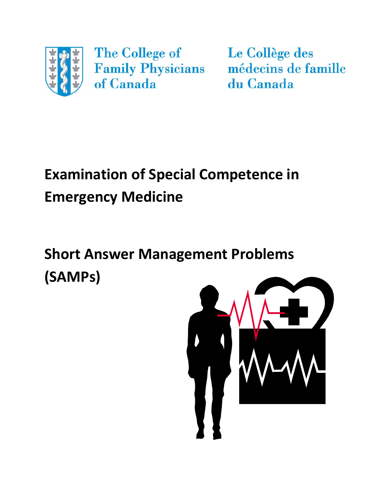

The College of of Canada

Le Collège des Family Physicians médecins de famille du Canada

# **Examination of Special Competence in Emergency Medicine**

# **Short Answer Management Problems (SAMPs)**

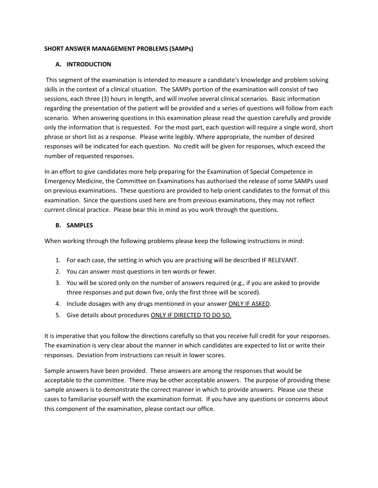# **SHORT ANSWER MANAGEMENT PROBLEMS (SAMPs)**

# **A. INTRODUCTION**

This segment of the examination is intended to measure a candidate's knowledge and problem solving skills in the context of a clinical situation. The SAMPs portion of the examination will consist of two sessions, each three (3) hours in length, and will involve several clinical scenarios. Basic information regarding the presentation of the patient will be provided and a series of questions will follow from each scenario. When answering questions in this examination please read the question carefully and provide only the information that is requested. For the most part, each question will require a single word, short phrase or short list as a response. Please write legibly. Where appropriate, the number of desired responses will be indicated for each question. No credit will be given for responses, which exceed the number of requested responses.

In an effort to give candidates more help preparing for the Examination of Special Competence in Emergency Medicine, the Committee on Examinations has authorised the release of some SAMPs used on previous examinations. These questions are provided to help orient candidates to the format of this examination. Since the questions used here are from previous examinations, they may not reflect current clinical practice. Please bear this in mind as you work through the questions.

# **B. SAMPLES**

When working through the following problems please keep the following instructions in mind:

- 1. For each case, the setting in which you are practising will be described IF RELEVANT.
- 2. You can answer most questions in ten words or fewer.
- 3. You will be scored only on the number of answers required (e.g., if you are asked to provide three responses and put down five, only the first three will be scored).
- 4. Include dosages with any drugs mentioned in your answer ONLY IF ASKED.
- 5. Give details about procedures ONLY IF DIRECTED TO DO SO.

It is imperative that you follow the directions carefully so that you receive full credit for your responses. The examination is very clear about the manner in which candidates are expected to list or write their responses. Deviation from instructions can result in lower scores.

Sample answers have been provided. These answers are among the responses that would be acceptable to the committee. There may be other acceptable answers. The purpose of providing these sample answers is to demonstrate the correct manner in which to provide answers. Please use these cases to familiarise yourself with the examination format. If you have any questions or concerns about this component of the examination, please contact our office.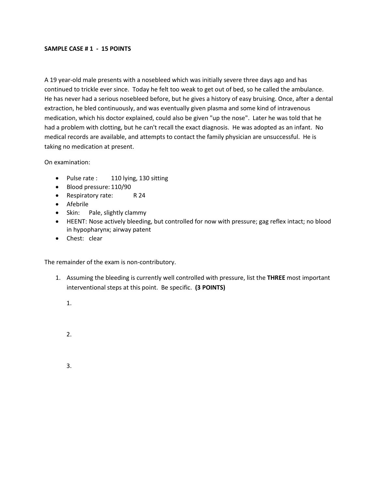### **SAMPLE CASE # 1 - 15 POINTS**

A 19 year-old male presents with a nosebleed which was initially severe three days ago and has continued to trickle ever since. Today he felt too weak to get out of bed, so he called the ambulance. He has never had a serious nosebleed before, but he gives a history of easy bruising. Once, after a dental extraction, he bled continuously, and was eventually given plasma and some kind of intravenous medication, which his doctor explained, could also be given "up the nose". Later he was told that he had a problem with clotting, but he can't recall the exact diagnosis. He was adopted as an infant. No medical records are available, and attempts to contact the family physician are unsuccessful. He is taking no medication at present.

On examination:

- Pulse rate : 110 lying, 130 sitting
- Blood pressure: 110/90
- Respiratory rate: R 24
- Afebrile
- Skin: Pale, slightly clammy
- HEENT: Nose actively bleeding, but controlled for now with pressure; gag reflex intact; no blood in hypopharynx; airway patent
- Chest: clear

The remainder of the exam is non-contributory.

- 1. Assuming the bleeding is currently well controlled with pressure, list the **THREE** most important interventional steps at this point. Be specific. **(3 POINTS)**
	- 1.
	- 2.
	- 3.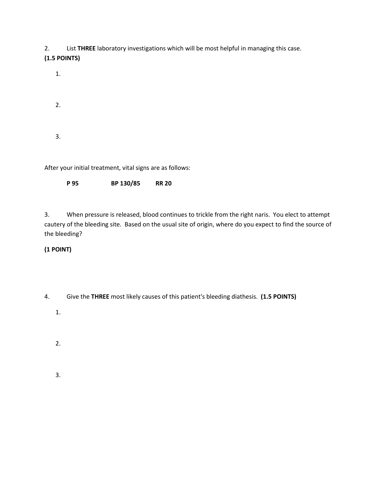2. List **THREE** laboratory investigations which will be most helpful in managing this case.

**(1.5 POINTS)**

1.

2.

3.

After your initial treatment, vital signs are as follows:

**P 95 BP 130/85 RR 20**

3. When pressure is released, blood continues to trickle from the right naris. You elect to attempt cautery of the bleeding site. Based on the usual site of origin, where do you expect to find the source of the bleeding?

# **(1 POINT)**

4. Give the **THREE** most likely causes of this patient's bleeding diathesis. **(1.5 POINTS)**

1.

2.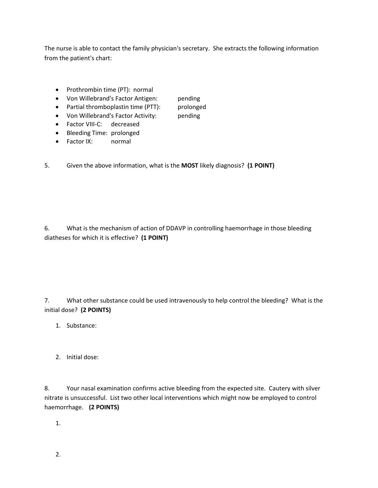The nurse is able to contact the family physician's secretary. She extracts the following information from the patient's chart:

- Prothrombin time (PT): normal
- Von Willebrand's Factor Antigen: pending
- Partial thromboplastin time (PTT): prolonged
- Von Willebrand's Factor Activity: pending
- Factor VIII-C: decreased
- Bleeding Time: prolonged
- Factor IX: normal

5. Given the above information, what is the **MOST** likely diagnosis? **(1 POINT)**

6. What is the mechanism of action of DDAVP in controlling haemorrhage in those bleeding diatheses for which it is effective? **(1 POINT)**

7. What other substance could be used intravenously to help control the bleeding? What is the initial dose? **(2 POINTS)**

- 1. Substance:
- 2. Initial dose:

8. Your nasal examination confirms active bleeding from the expected site. Cautery with silver nitrate is unsuccessful. List two other local interventions which might now be employed to control haemorrhage. **(2 POINTS)**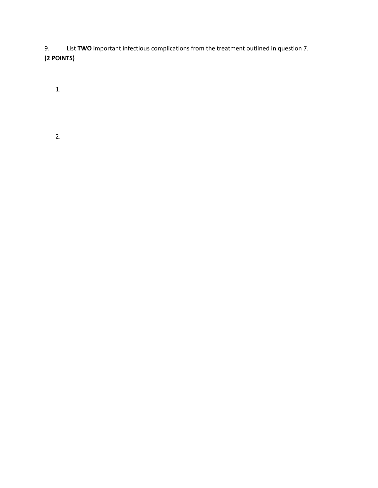9. List **TWO** important infectious complications from the treatment outlined in question 7. **(2 POINTS)**

1.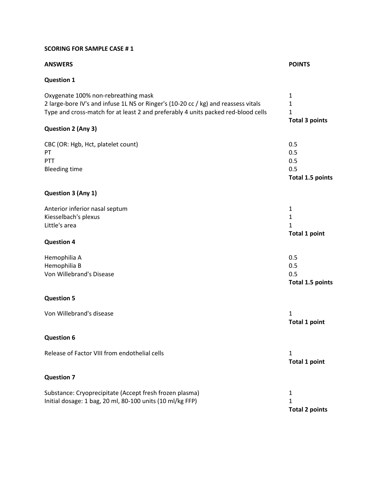# **SCORING FOR SAMPLE CASE # 1**

# **ANSWERS POINTS**

# **Question 1**

| Oxygenate 100% non-rebreathing mask                                                | $\mathbf{1}$            |
|------------------------------------------------------------------------------------|-------------------------|
| 2 large-bore IV's and infuse 1L NS or Ringer's (10-20 cc / kg) and reassess vitals | 1                       |
| Type and cross-match for at least 2 and preferably 4 units packed red-blood cells  | $\mathbf{1}$            |
|                                                                                    | <b>Total 3 points</b>   |
| Question 2 (Any 3)                                                                 |                         |
| CBC (OR: Hgb, Hct, platelet count)                                                 | 0.5                     |
| PT                                                                                 | 0.5                     |
| PTT                                                                                | 0.5                     |
| <b>Bleeding time</b>                                                               | 0.5                     |
|                                                                                    | <b>Total 1.5 points</b> |
| Question 3 (Any 1)                                                                 |                         |
| Anterior inferior nasal septum                                                     | $\mathbf{1}$            |
| Kiesselbach's plexus                                                               | 1                       |
| Little's area                                                                      | 1                       |
|                                                                                    | <b>Total 1 point</b>    |
| <b>Question 4</b>                                                                  |                         |
| Hemophilia A                                                                       | 0.5                     |
| Hemophilia B                                                                       | 0.5                     |
| Von Willebrand's Disease                                                           | 0.5                     |
|                                                                                    | Total 1.5 points        |
| <b>Question 5</b>                                                                  |                         |
| Von Willebrand's disease                                                           | 1                       |
|                                                                                    | <b>Total 1 point</b>    |
| <b>Question 6</b>                                                                  |                         |
| Release of Factor VIII from endothelial cells                                      | 1                       |
|                                                                                    | <b>Total 1 point</b>    |
| <b>Question 7</b>                                                                  |                         |
| Substance: Cryoprecipitate (Accept fresh frozen plasma)                            | $\mathbf{1}$            |
| Initial dosage: 1 bag, 20 ml, 80-100 units (10 ml/kg FFP)                          | 1                       |
|                                                                                    | <b>Total 2 points</b>   |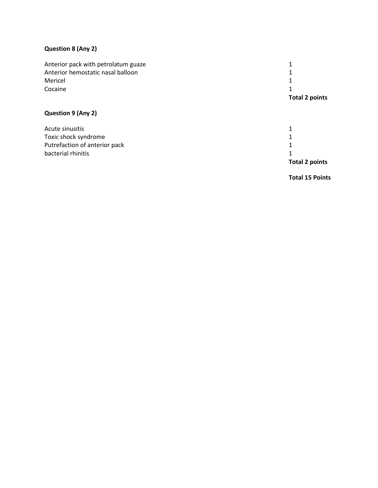# **Question 8 (Any 2)**

| Anterior pack with petrolatum guaze |                       |
|-------------------------------------|-----------------------|
| Anterior hemostatic nasal balloon   |                       |
| Mericel                             |                       |
| Cocaine                             |                       |
|                                     | <b>Total 2 points</b> |

# **Question 9 (Any 2)**

|                               | <b>Total 2 points</b> |
|-------------------------------|-----------------------|
| bacterial rhinitis            |                       |
| Putrefaction of anterior pack |                       |
| Toxic shock syndrome          |                       |
| Acute sinusitis               |                       |

**Total 15 Points**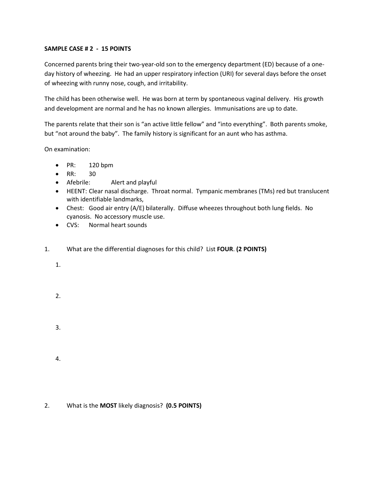# **SAMPLE CASE # 2 - 15 POINTS**

Concerned parents bring their two-year-old son to the emergency department (ED) because of a oneday history of wheezing. He had an upper respiratory infection (URI) for several days before the onset of wheezing with runny nose, cough, and irritability.

The child has been otherwise well. He was born at term by spontaneous vaginal delivery. His growth and development are normal and he has no known allergies. Immunisations are up to date.

The parents relate that their son is "an active little fellow" and "into everything". Both parents smoke, but "not around the baby". The family history is significant for an aunt who has asthma.

On examination:

- PR: 120 bpm
- RR: 30
- Afebrile: Alert and playful
- HEENT: Clear nasal discharge. Throat normal. Tympanic membranes (TMs) red but translucent with identifiable landmarks,
- Chest: Good air entry (A/E) bilaterally. Diffuse wheezes throughout both lung fields. No cyanosis. No accessory muscle use.
- CVS: Normal heart sounds
- 1. What are the differential diagnoses for this child? List **FOUR**. **(2 POINTS)**
	- 1.
	- 2.
	- 3.
	- 4.

2. What is the **MOST** likely diagnosis? **(0.5 POINTS)**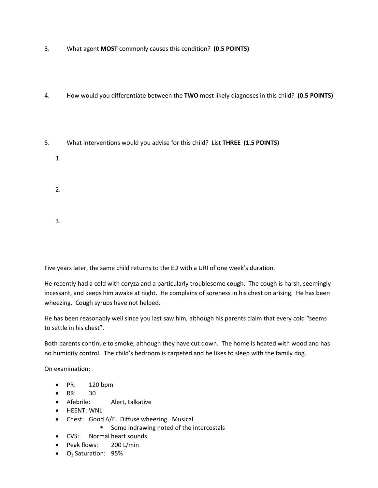- 3. What agent **MOST** commonly causes this condition? **(0.5 POINTS)**
- 4. How would you differentiate between the **TWO** most likely diagnoses in this child? **(0.5 POINTS)**
- 5. What interventions would you advise for this child? List **THREE (1.5 POINTS)**
	- 1.
	- 2.
	- 3.

Five years later, the same child returns to the ED with a URI of one week's duration.

He recently had a cold with coryza and a particularly troublesome cough. The cough is harsh, seemingly incessant, and keeps him awake at night. He complains of soreness in his chest on arising. He has been wheezing. Cough syrups have not helped.

He has been reasonably well since you last saw him, although his parents claim that every cold "seems to settle in his chest".

Both parents continue to smoke, although they have cut down. The home is heated with wood and has no humidity control. The child's bedroom is carpeted and he likes to sleep with the family dog.

On examination:

- PR: 120 bpm
- RR: 30
- Afebrile: Alert, talkative
- HEENT: WNL
- Chest: Good A/E. Diffuse wheezing. Musical
	- Some indrawing noted of the intercostals
- CVS: Normal heart sounds
- Peak flows: 200 L/min
- $\bullet$  O<sub>2</sub> Saturation: 95%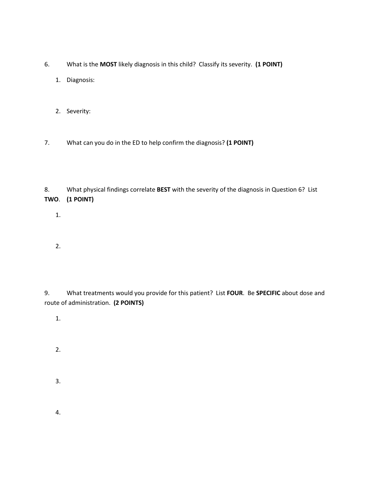- 6. What is the **MOST** likely diagnosis in this child? Classify its severity. **(1 POINT)**
	- 1. Diagnosis:
	- 2. Severity:
- 7. What can you do in the ED to help confirm the diagnosis? **(1 POINT)**

8. What physical findings correlate **BEST** with the severity of the diagnosis in Question 6? List **TWO**. **(1 POINT)**

- 1.
- 2.

9. What treatments would you provide for this patient? List **FOUR**. Be **SPECIFIC** about dose and route of administration. **(2 POINTS)**

- 1.
- 2.
- 3.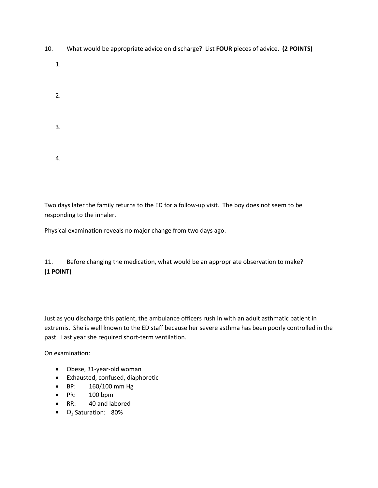- 10. What would be appropriate advice on discharge? List **FOUR** pieces of advice. **(2 POINTS)**
	- 1.
	- 2.
	- 3.
	- 4.

Two days later the family returns to the ED for a follow-up visit. The boy does not seem to be responding to the inhaler.

Physical examination reveals no major change from two days ago.

11. Before changing the medication, what would be an appropriate observation to make? **(1 POINT)**

Just as you discharge this patient, the ambulance officers rush in with an adult asthmatic patient in extremis. She is well known to the ED staff because her severe asthma has been poorly controlled in the past. Last year she required short-term ventilation.

On examination:

- Obese, 31-year-old woman
- Exhausted, confused, diaphoretic
- BP: 160/100 mm Hg
- PR: 100 bpm
- RR: 40 and labored
- O2 Saturation: 80%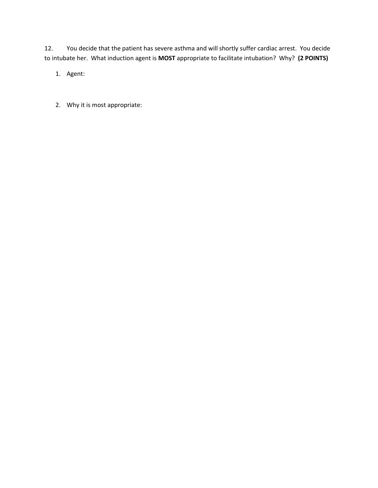12. You decide that the patient has severe asthma and will shortly suffer cardiac arrest. You decide to intubate her. What induction agent is **MOST** appropriate to facilitate intubation? Why? **(2 POINTS)**

1. Agent:

2. Why it is most appropriate: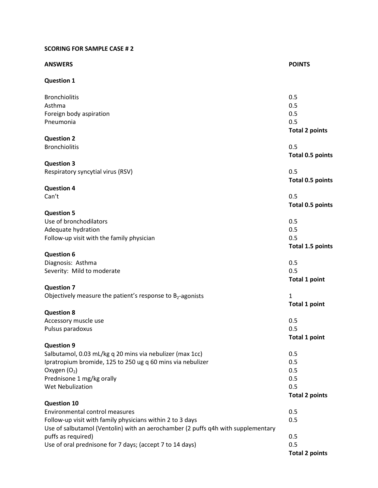# **SCORING FOR SAMPLE CASE # 2**

| <b>ANSWERS</b>                                                                   | <b>POINTS</b>           |
|----------------------------------------------------------------------------------|-------------------------|
| <b>Question 1</b>                                                                |                         |
| <b>Bronchiolitis</b>                                                             | 0.5                     |
| Asthma                                                                           | 0.5                     |
| Foreign body aspiration                                                          | 0.5                     |
| Pneumonia                                                                        | 0.5                     |
|                                                                                  | <b>Total 2 points</b>   |
| <b>Question 2</b>                                                                |                         |
| <b>Bronchiolitis</b>                                                             | 0.5                     |
|                                                                                  | <b>Total 0.5 points</b> |
| <b>Question 3</b><br>Respiratory syncytial virus (RSV)                           | 0.5                     |
|                                                                                  |                         |
| <b>Question 4</b>                                                                | <b>Total 0.5 points</b> |
| Can't                                                                            | 0.5                     |
|                                                                                  | <b>Total 0.5 points</b> |
| <b>Question 5</b>                                                                |                         |
| Use of bronchodilators                                                           | 0.5                     |
| Adequate hydration                                                               | 0.5                     |
| Follow-up visit with the family physician                                        | 0.5                     |
|                                                                                  | Total 1.5 points        |
| <b>Question 6</b>                                                                |                         |
| Diagnosis: Asthma                                                                | 0.5                     |
| Severity: Mild to moderate                                                       | 0.5                     |
|                                                                                  | <b>Total 1 point</b>    |
| <b>Question 7</b>                                                                |                         |
| Objectively measure the patient's response to $B2$ -agonists                     | $\mathbf{1}$            |
|                                                                                  | <b>Total 1 point</b>    |
| <b>Question 8</b>                                                                |                         |
| Accessory muscle use                                                             | 0.5                     |
| Pulsus paradoxus                                                                 | 0.5                     |
|                                                                                  | <b>Total 1 point</b>    |
| <b>Question 9</b>                                                                |                         |
| Salbutamol, 0.03 mL/kg q 20 mins via nebulizer (max 1cc)                         | 0.5                     |
| Ipratropium bromide, 125 to 250 ug q 60 mins via nebulizer                       | 0.5                     |
| Oxygen $(O_2)$                                                                   | 0.5                     |
| Prednisone 1 mg/kg orally                                                        | 0.5                     |
| <b>Wet Nebulization</b>                                                          | 0.5                     |
|                                                                                  | <b>Total 2 points</b>   |
| <b>Question 10</b>                                                               |                         |
| <b>Environmental control measures</b>                                            | 0.5                     |
| Follow-up visit with family physicians within 2 to 3 days                        | 0.5                     |
| Use of salbutamol (Ventolin) with an aerochamber (2 puffs q4h with supplementary |                         |
| puffs as required)                                                               | 0.5                     |
| Use of oral prednisone for 7 days; (accept 7 to 14 days)                         | 0.5                     |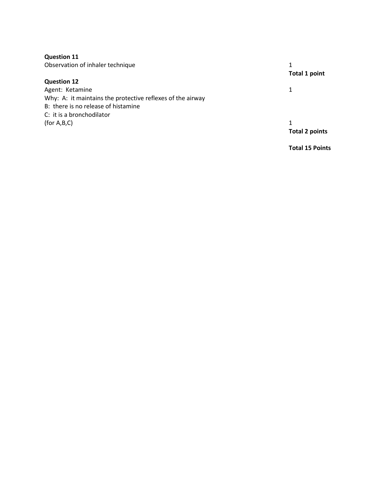| <b>Question 11</b>                                         |                        |
|------------------------------------------------------------|------------------------|
| Observation of inhaler technique                           | <b>Total 1 point</b>   |
| <b>Question 12</b>                                         |                        |
| Agent: Ketamine                                            | 1                      |
| Why: A: it maintains the protective reflexes of the airway |                        |
| B: there is no release of histamine                        |                        |
| C: it is a bronchodilator                                  |                        |
| (for A,B,C)                                                |                        |
|                                                            | <b>Total 2 points</b>  |
|                                                            | <b>Total 15 Points</b> |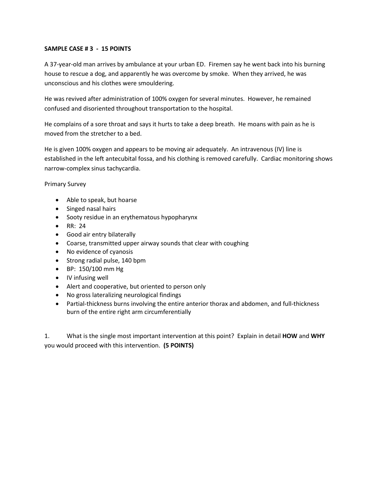## **SAMPLE CASE # 3 - 15 POINTS**

A 37-year-old man arrives by ambulance at your urban ED. Firemen say he went back into his burning house to rescue a dog, and apparently he was overcome by smoke. When they arrived, he was unconscious and his clothes were smouldering.

He was revived after administration of 100% oxygen for several minutes. However, he remained confused and disoriented throughout transportation to the hospital.

He complains of a sore throat and says it hurts to take a deep breath. He moans with pain as he is moved from the stretcher to a bed.

He is given 100% oxygen and appears to be moving air adequately. An intravenous (IV) line is established in the left antecubital fossa, and his clothing is removed carefully. Cardiac monitoring shows narrow-complex sinus tachycardia.

Primary Survey

- Able to speak, but hoarse
- Singed nasal hairs
- Sooty residue in an erythematous hypopharynx
- RR: 24
- Good air entry bilaterally
- Coarse, transmitted upper airway sounds that clear with coughing
- No evidence of cyanosis
- Strong radial pulse, 140 bpm
- BP: 150/100 mm Hg
- IV infusing well
- Alert and cooperative, but oriented to person only
- No gross lateralizing neurological findings
- Partial-thickness burns involving the entire anterior thorax and abdomen, and full-thickness burn of the entire right arm circumferentially

1. What is the single most important intervention at this point? Explain in detail **HOW** and **WHY** you would proceed with this intervention. **(5 POINTS)**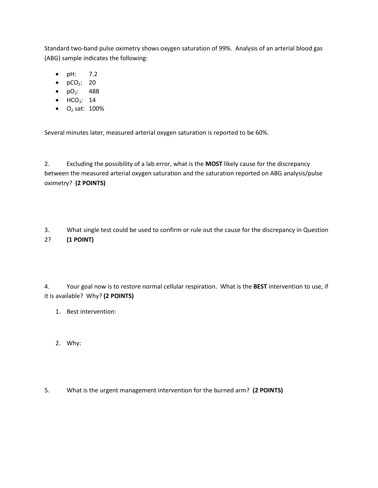Standard two-band pulse oximetry shows oxygen saturation of 99%. Analysis of an arterial blood gas (ABG) sample indicates the following:

- pH: 7.2
- $pCO<sub>2</sub>: 20$
- $pO_2$ : 488
- $\bullet$  HCO<sub>3</sub>: 14
- $O_2$  sat: 100%

Several minutes later, measured arterial oxygen saturation is reported to be 60%.

2. Excluding the possibility of a lab error, what is the **MOST** likely cause for the discrepancy between the measured arterial oxygen saturation and the saturation reported on ABG analysis/pulse oximetry? **(2 POINTS)**

3. What single test could be used to confirm or rule out the cause for the discrepancy in Question 2? **(1 POINT)**

4. Your goal now is to restore normal cellular respiration. What is the **BEST** intervention to use, if it is available? Why? **(2 POINTS)**

- 1. Best intervention:
- 2. Why:
- 5. What is the urgent management intervention for the burned arm? **(2 POINTS)**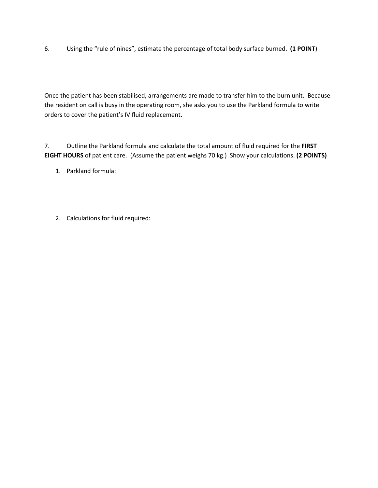6. Using the "rule of nines", estimate the percentage of total body surface burned. **(1 POINT**)

Once the patient has been stabilised, arrangements are made to transfer him to the burn unit. Because the resident on call is busy in the operating room, she asks you to use the Parkland formula to write orders to cover the patient's IV fluid replacement.

7. Outline the Parkland formula and calculate the total amount of fluid required for the **FIRST EIGHT HOURS** of patient care. (Assume the patient weighs 70 kg.) Show your calculations. **(2 POINTS)**

- 1. Parkland formula:
- 2. Calculations for fluid required: